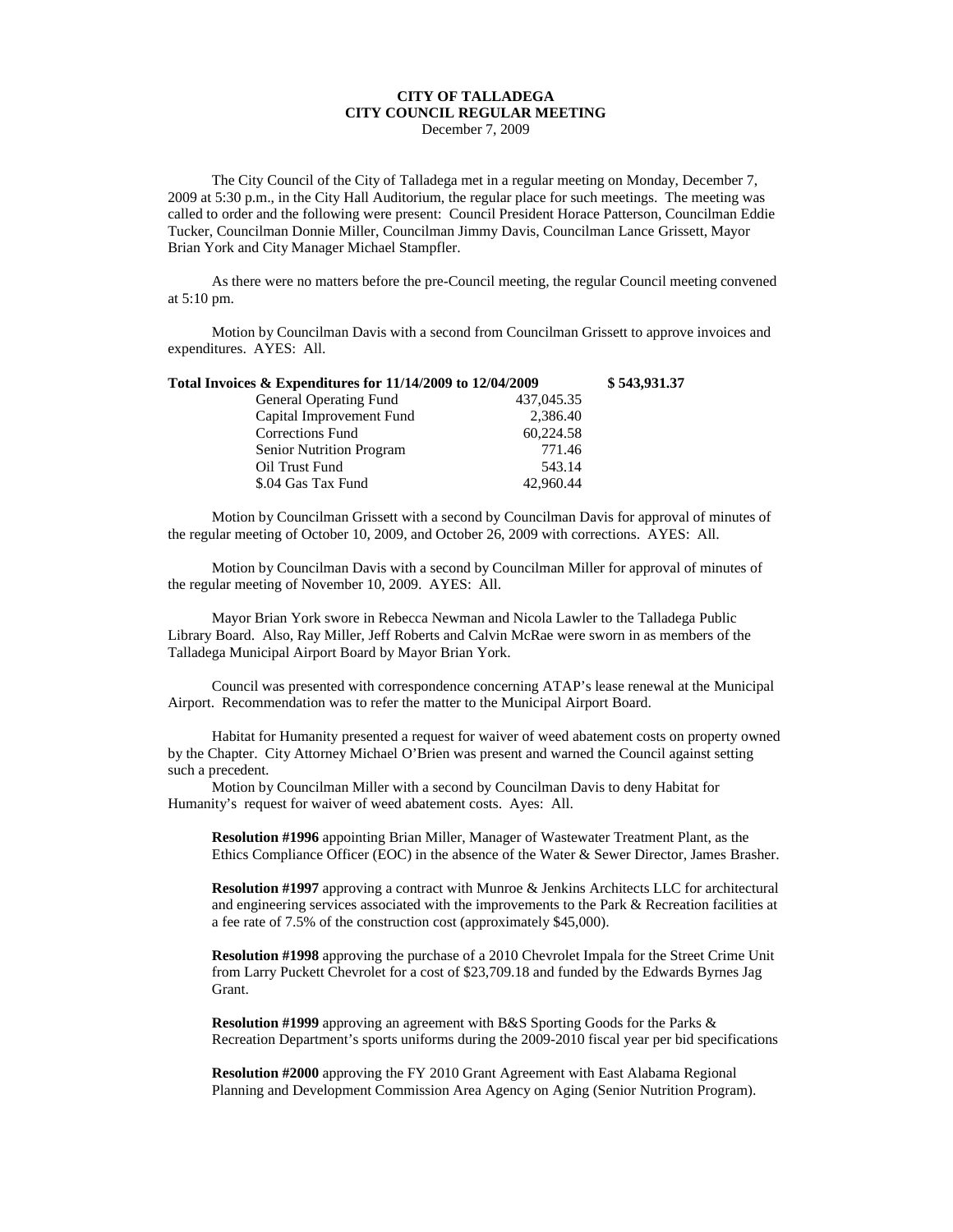## **CITY OF TALLADEGA CITY COUNCIL REGULAR MEETING** December 7, 2009

The City Council of the City of Talladega met in a regular meeting on Monday, December 7, 2009 at 5:30 p.m., in the City Hall Auditorium, the regular place for such meetings. The meeting was called to order and the following were present: Council President Horace Patterson, Councilman Eddie Tucker, Councilman Donnie Miller, Councilman Jimmy Davis, Councilman Lance Grissett, Mayor Brian York and City Manager Michael Stampfler.

As there were no matters before the pre-Council meeting, the regular Council meeting convened at 5:10 pm.

Motion by Councilman Davis with a second from Councilman Grissett to approve invoices and expenditures. AYES: All.

| Total Invoices & Expenditures for 11/14/2009 to 12/04/2009 |            | \$543,931.37 |
|------------------------------------------------------------|------------|--------------|
| <b>General Operating Fund</b>                              | 437,045.35 |              |
| Capital Improvement Fund                                   | 2,386.40   |              |
| Corrections Fund                                           | 60.224.58  |              |
| Senior Nutrition Program                                   | 771.46     |              |
| Oil Trust Fund                                             | 543.14     |              |
| \$.04 Gas Tax Fund                                         | 42,960.44  |              |

Motion by Councilman Grissett with a second by Councilman Davis for approval of minutes of the regular meeting of October 10, 2009, and October 26, 2009 with corrections. AYES: All.

Motion by Councilman Davis with a second by Councilman Miller for approval of minutes of the regular meeting of November 10, 2009. AYES: All.

Mayor Brian York swore in Rebecca Newman and Nicola Lawler to the Talladega Public Library Board. Also, Ray Miller, Jeff Roberts and Calvin McRae were sworn in as members of the Talladega Municipal Airport Board by Mayor Brian York.

Council was presented with correspondence concerning ATAP's lease renewal at the Municipal Airport. Recommendation was to refer the matter to the Municipal Airport Board.

Habitat for Humanity presented a request for waiver of weed abatement costs on property owned by the Chapter. City Attorney Michael O'Brien was present and warned the Council against setting such a precedent.

Motion by Councilman Miller with a second by Councilman Davis to deny Habitat for Humanity's request for waiver of weed abatement costs. Ayes: All.

**Resolution #1996** appointing Brian Miller, Manager of Wastewater Treatment Plant, as the Ethics Compliance Officer (EOC) in the absence of the Water & Sewer Director, James Brasher.

**Resolution #1997** approving a contract with Munroe & Jenkins Architects LLC for architectural and engineering services associated with the improvements to the Park & Recreation facilities at a fee rate of 7.5% of the construction cost (approximately \$45,000).

**Resolution #1998** approving the purchase of a 2010 Chevrolet Impala for the Street Crime Unit from Larry Puckett Chevrolet for a cost of \$23,709.18 and funded by the Edwards Byrnes Jag Grant.

**Resolution #1999** approving an agreement with B&S Sporting Goods for the Parks & Recreation Department's sports uniforms during the 2009-2010 fiscal year per bid specifications

**Resolution #2000** approving the FY 2010 Grant Agreement with East Alabama Regional Planning and Development Commission Area Agency on Aging (Senior Nutrition Program).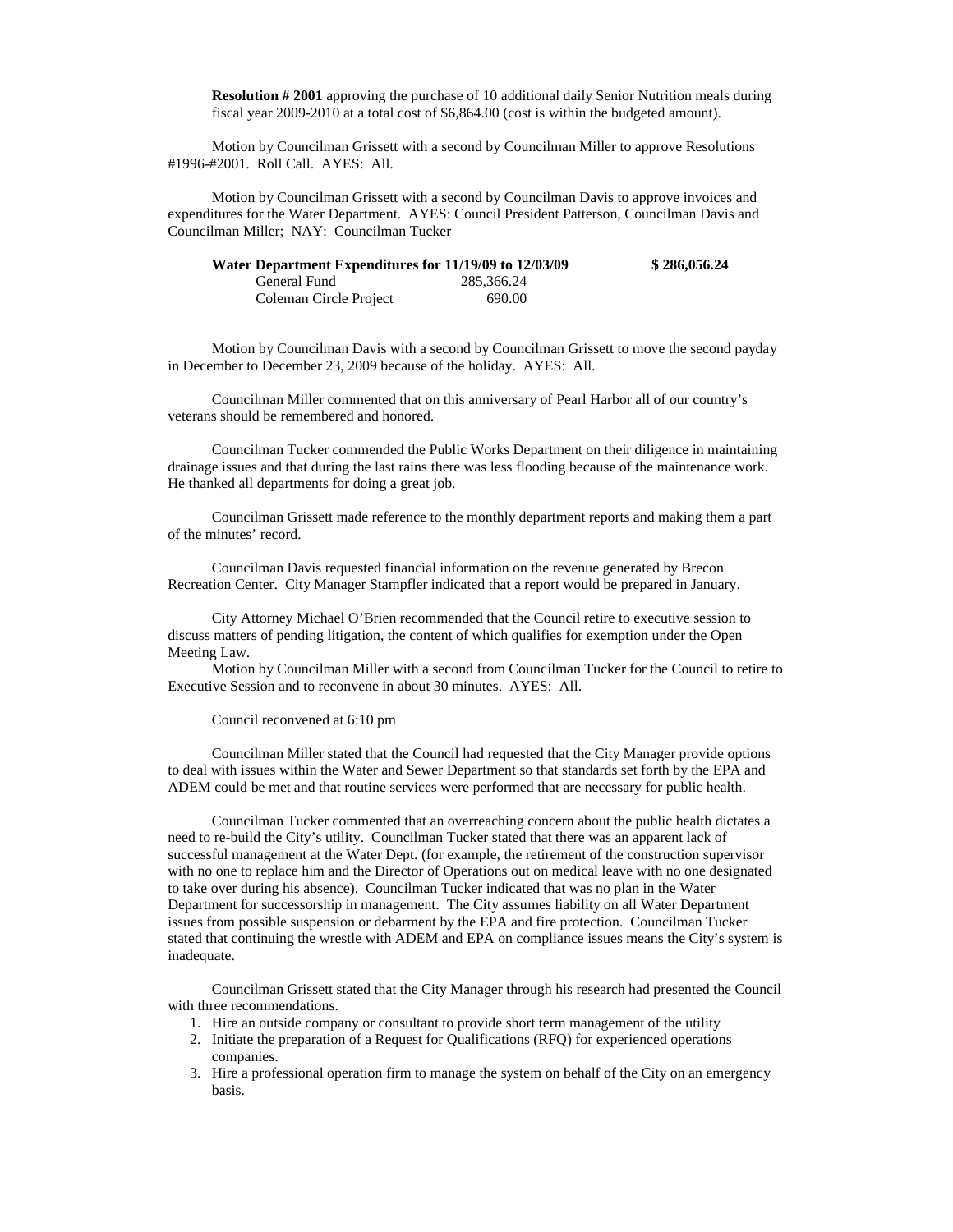**Resolution # 2001** approving the purchase of 10 additional daily Senior Nutrition meals during fiscal year 2009-2010 at a total cost of \$6,864.00 (cost is within the budgeted amount).

Motion by Councilman Grissett with a second by Councilman Miller to approve Resolutions #1996-#2001. Roll Call. AYES: All.

Motion by Councilman Grissett with a second by Councilman Davis to approve invoices and expenditures for the Water Department. AYES: Council President Patterson, Councilman Davis and Councilman Miller; NAY: Councilman Tucker

| Water Department Expenditures for 11/19/09 to 12/03/09 |            | \$286,056.24 |
|--------------------------------------------------------|------------|--------------|
| General Fund                                           | 285,366.24 |              |
| Coleman Circle Project                                 | 690.00     |              |

Motion by Councilman Davis with a second by Councilman Grissett to move the second payday in December to December 23, 2009 because of the holiday. AYES: All.

Councilman Miller commented that on this anniversary of Pearl Harbor all of our country's veterans should be remembered and honored.

Councilman Tucker commended the Public Works Department on their diligence in maintaining drainage issues and that during the last rains there was less flooding because of the maintenance work. He thanked all departments for doing a great job.

Councilman Grissett made reference to the monthly department reports and making them a part of the minutes' record.

Councilman Davis requested financial information on the revenue generated by Brecon Recreation Center. City Manager Stampfler indicated that a report would be prepared in January.

City Attorney Michael O'Brien recommended that the Council retire to executive session to discuss matters of pending litigation, the content of which qualifies for exemption under the Open Meeting Law.

Motion by Councilman Miller with a second from Councilman Tucker for the Council to retire to Executive Session and to reconvene in about 30 minutes. AYES: All.

## Council reconvened at 6:10 pm

Councilman Miller stated that the Council had requested that the City Manager provide options to deal with issues within the Water and Sewer Department so that standards set forth by the EPA and ADEM could be met and that routine services were performed that are necessary for public health.

Councilman Tucker commented that an overreaching concern about the public health dictates a need to re-build the City's utility. Councilman Tucker stated that there was an apparent lack of successful management at the Water Dept. (for example, the retirement of the construction supervisor with no one to replace him and the Director of Operations out on medical leave with no one designated to take over during his absence). Councilman Tucker indicated that was no plan in the Water Department for successorship in management. The City assumes liability on all Water Department issues from possible suspension or debarment by the EPA and fire protection. Councilman Tucker stated that continuing the wrestle with ADEM and EPA on compliance issues means the City's system is inadequate.

Councilman Grissett stated that the City Manager through his research had presented the Council with three recommendations.

- 1. Hire an outside company or consultant to provide short term management of the utility
- 2. Initiate the preparation of a Request for Qualifications (RFQ) for experienced operations companies.
- 3. Hire a professional operation firm to manage the system on behalf of the City on an emergency basis.